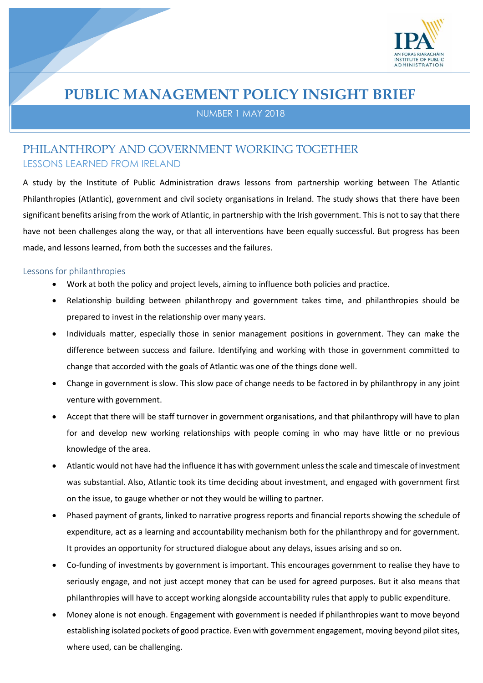

# **PUBLIC MANAGEMENT POLICY INSIGHT BRIEF**

NUMBER 1 MAY 2018

## PHILANTHROPY AND GOVERNMENT WORKING TOGETHER LESSONS LEARNED FROM IRELAND

A study by the Institute of Public Administration draws lessons from partnership working between The Atlantic Philanthropies (Atlantic), government and civil society organisations in Ireland. The study shows that there have been significant benefits arising from the work of Atlantic, in partnership with the Irish government. This is not to say that there have not been challenges along the way, or that all interventions have been equally successful. But progress has been made, and lessons learned, from both the successes and the failures.

### Lessons for philanthropies

- Work at both the policy and project levels, aiming to influence both policies and practice.
- Relationship building between philanthropy and government takes time, and philanthropies should be prepared to invest in the relationship over many years.
- Individuals matter, especially those in senior management positions in government. They can make the difference between success and failure. Identifying and working with those in government committed to change that accorded with the goals of Atlantic was one of the things done well.
- Change in government is slow. This slow pace of change needs to be factored in by philanthropy in any joint venture with government.
- Accept that there will be staff turnover in government organisations, and that philanthropy will have to plan for and develop new working relationships with people coming in who may have little or no previous knowledge of the area.
- Atlantic would not have had the influence it has with government unless the scale and timescale of investment was substantial. Also, Atlantic took its time deciding about investment, and engaged with government first on the issue, to gauge whether or not they would be willing to partner.
- Phased payment of grants, linked to narrative progress reports and financial reports showing the schedule of expenditure, act as a learning and accountability mechanism both for the philanthropy and for government. It provides an opportunity for structured dialogue about any delays, issues arising and so on.
- Co-funding of investments by government is important. This encourages government to realise they have to seriously engage, and not just accept money that can be used for agreed purposes. But it also means that philanthropies will have to accept working alongside accountability rules that apply to public expenditure.
- Money alone is not enough. Engagement with government is needed if philanthropies want to move beyond establishing isolated pockets of good practice. Even with government engagement, moving beyond pilot sites, where used, can be challenging.